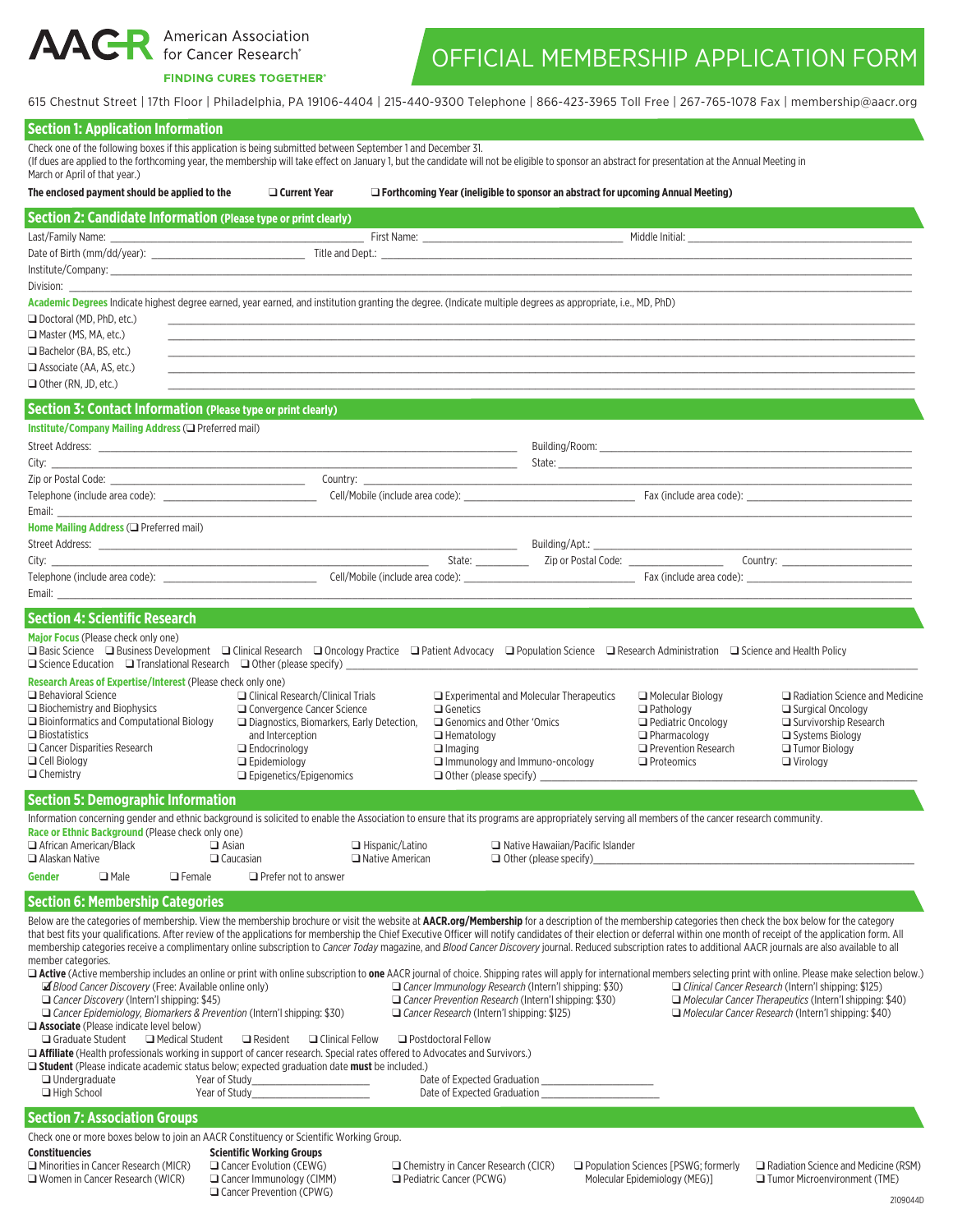**AACR** American Association

## **FINDING CURES TOGETHER®**

□ Women in Cancer Research (WICR)

Gancer Immunology (CIMM) Gancer Prevention (CPWG)

## OFFICIAL MEMBERSHIP APPLICATION FORM

615 Chestnut Street | 17th Floor | Philadelphia, PA 19106-4404 | 215-440-9300 Telephone | 866-423-3965 Toll Free | 267-765-1078 Fax | membership@aacr.org

| <b>Section 1: Application Information</b>                                                                                                                                                                                                                                                                                                                                                                                                                                                                                                                                                                                                                                                                                                                                                                                                                                                                                                                                                                                                                                                                                                                                                                                                                                                                                                                                                                                                                                                                                                                                                        |                                                                                                                                                                                                                         |                                                                                                                                                                                                                                                          |                                                                          |                                                                                                                                       |                                                                                                                                                                       |
|--------------------------------------------------------------------------------------------------------------------------------------------------------------------------------------------------------------------------------------------------------------------------------------------------------------------------------------------------------------------------------------------------------------------------------------------------------------------------------------------------------------------------------------------------------------------------------------------------------------------------------------------------------------------------------------------------------------------------------------------------------------------------------------------------------------------------------------------------------------------------------------------------------------------------------------------------------------------------------------------------------------------------------------------------------------------------------------------------------------------------------------------------------------------------------------------------------------------------------------------------------------------------------------------------------------------------------------------------------------------------------------------------------------------------------------------------------------------------------------------------------------------------------------------------------------------------------------------------|-------------------------------------------------------------------------------------------------------------------------------------------------------------------------------------------------------------------------|----------------------------------------------------------------------------------------------------------------------------------------------------------------------------------------------------------------------------------------------------------|--------------------------------------------------------------------------|---------------------------------------------------------------------------------------------------------------------------------------|-----------------------------------------------------------------------------------------------------------------------------------------------------------------------|
| Check one of the following boxes if this application is being submitted between September 1 and December 31.<br>(If dues are applied to the forthcoming year, the membership will take effect on January 1, but the candidate will not be eligible to sponsor an abstract for presentation at the Annual Meeting in<br>March or April of that year.)                                                                                                                                                                                                                                                                                                                                                                                                                                                                                                                                                                                                                                                                                                                                                                                                                                                                                                                                                                                                                                                                                                                                                                                                                                             |                                                                                                                                                                                                                         |                                                                                                                                                                                                                                                          |                                                                          |                                                                                                                                       |                                                                                                                                                                       |
| The enclosed payment should be applied to the                                                                                                                                                                                                                                                                                                                                                                                                                                                                                                                                                                                                                                                                                                                                                                                                                                                                                                                                                                                                                                                                                                                                                                                                                                                                                                                                                                                                                                                                                                                                                    | $\Box$ Current Year                                                                                                                                                                                                     | $\Box$ Forthcoming Year (ineligible to sponsor an abstract for upcoming Annual Meeting)                                                                                                                                                                  |                                                                          |                                                                                                                                       |                                                                                                                                                                       |
| Section 2: Candidate Information (Please type or print clearly)<br>Last/Family Name:                                                                                                                                                                                                                                                                                                                                                                                                                                                                                                                                                                                                                                                                                                                                                                                                                                                                                                                                                                                                                                                                                                                                                                                                                                                                                                                                                                                                                                                                                                             |                                                                                                                                                                                                                         |                                                                                                                                                                                                                                                          |                                                                          |                                                                                                                                       |                                                                                                                                                                       |
| Division:                                                                                                                                                                                                                                                                                                                                                                                                                                                                                                                                                                                                                                                                                                                                                                                                                                                                                                                                                                                                                                                                                                                                                                                                                                                                                                                                                                                                                                                                                                                                                                                        |                                                                                                                                                                                                                         |                                                                                                                                                                                                                                                          |                                                                          |                                                                                                                                       |                                                                                                                                                                       |
| Academic Degrees Indicate highest degree earned, year earned, and institution granting the degree. (Indicate multiple degrees as appropriate, i.e., MD, PhD)<br>□ Doctoral (MD, PhD, etc.)<br>Master (MS, MA, etc.)<br>$\Box$ Bachelor (BA, BS, etc.)<br>$\Box$ Associate (AA, AS, etc.)<br>$\Box$ Other (RN, JD, etc.)                                                                                                                                                                                                                                                                                                                                                                                                                                                                                                                                                                                                                                                                                                                                                                                                                                                                                                                                                                                                                                                                                                                                                                                                                                                                          |                                                                                                                                                                                                                         |                                                                                                                                                                                                                                                          |                                                                          |                                                                                                                                       |                                                                                                                                                                       |
| <b>Section 3: Contact Information (Please type or print clearly)</b>                                                                                                                                                                                                                                                                                                                                                                                                                                                                                                                                                                                                                                                                                                                                                                                                                                                                                                                                                                                                                                                                                                                                                                                                                                                                                                                                                                                                                                                                                                                             |                                                                                                                                                                                                                         |                                                                                                                                                                                                                                                          |                                                                          |                                                                                                                                       |                                                                                                                                                                       |
| Institute/Company Mailing Address (Q Preferred mail)<br>City:<br><u> 1980 - Johann Barn, amerikan besteman besteman besteman besteman besteman besteman besteman besteman besteman</u>                                                                                                                                                                                                                                                                                                                                                                                                                                                                                                                                                                                                                                                                                                                                                                                                                                                                                                                                                                                                                                                                                                                                                                                                                                                                                                                                                                                                           |                                                                                                                                                                                                                         | <u> 1989 - Johann Barbara, martin amerikan basar dan basa dan basa dalam basa dalam basa dalam basa dalam basa da</u>                                                                                                                                    |                                                                          |                                                                                                                                       |                                                                                                                                                                       |
| Email: <b>Exercise Email:</b>                                                                                                                                                                                                                                                                                                                                                                                                                                                                                                                                                                                                                                                                                                                                                                                                                                                                                                                                                                                                                                                                                                                                                                                                                                                                                                                                                                                                                                                                                                                                                                    |                                                                                                                                                                                                                         | Country:                                                                                                                                                                                                                                                 |                                                                          |                                                                                                                                       |                                                                                                                                                                       |
| Home Mailing Address $(\Box$ Preferred mail)<br>City: the contract of the contract of the contract of the contract of the contract of the contract of the contract of the contract of the contract of the contract of the contract of the contract of the contract of the cont<br>Email: Email: All and the state of the state of the state of the state of the state of the state of the state of the state of the state of the state of the state of the state of the state of the state of the state of the s                                                                                                                                                                                                                                                                                                                                                                                                                                                                                                                                                                                                                                                                                                                                                                                                                                                                                                                                                                                                                                                                                 |                                                                                                                                                                                                                         |                                                                                                                                                                                                                                                          |                                                                          |                                                                                                                                       |                                                                                                                                                                       |
| <b>Section 4: Scientific Research</b>                                                                                                                                                                                                                                                                                                                                                                                                                                                                                                                                                                                                                                                                                                                                                                                                                                                                                                                                                                                                                                                                                                                                                                                                                                                                                                                                                                                                                                                                                                                                                            |                                                                                                                                                                                                                         |                                                                                                                                                                                                                                                          |                                                                          |                                                                                                                                       |                                                                                                                                                                       |
| Major Focus (Please check only one)<br>□ Basic Science □ Business Development □ Clinical Research □ Oncology Practice □ Patient Advocacy □ Population Science □ Research Administration □ Science and Health Policy<br>$\Box$ Science Education $\Box$ Translational Research $\Box$ Other (please specify) ____                                                                                                                                                                                                                                                                                                                                                                                                                                                                                                                                                                                                                                                                                                                                                                                                                                                                                                                                                                                                                                                                                                                                                                                                                                                                                 |                                                                                                                                                                                                                         |                                                                                                                                                                                                                                                          |                                                                          |                                                                                                                                       |                                                                                                                                                                       |
| Research Areas of Expertise/Interest (Please check only one)<br><b>Behavioral Science</b><br>$\Box$ Biochemistry and Biophysics<br>□ Bioinformatics and Computational Biology<br>$\Box$ Biostatistics<br>$\Box$ Cancer Disparities Research<br><b>Q</b> Cell Biology<br>$\Box$ Chemistry                                                                                                                                                                                                                                                                                                                                                                                                                                                                                                                                                                                                                                                                                                                                                                                                                                                                                                                                                                                                                                                                                                                                                                                                                                                                                                         | □ Clinical Research/Clinical Trials<br>□ Convergence Cancer Science<br>□ Diagnostics, Biomarkers, Early Detection,<br>and Interception<br>$\Box$ Endocrinology<br>$\Box$ Epidemiology<br>$\Box$ Epigenetics/Epigenomics | $\Box$ Genetics<br>$\Box$ Genomics and Other 'Omics<br>$\Box$ Hematology<br>$\Box$ Imaging<br>$\Box$ Immunology and Immuno-oncology<br>$\Box$ Other (please specify)                                                                                     | $\Box$ Experimental and Molecular Therapeutics                           | $\Box$ Molecular Biology<br>$\Box$ Pathology<br>Pediatric Oncology<br>$\Box$ Pharmacology<br>Prevention Research<br>$\Box$ Proteomics | Radiation Science and Medicine<br>$\Box$ Surgical Oncology<br>□ Survivorship Research<br>□ Systems Biology<br>$\Box$ Tumor Biology<br>$\Box$ Virology                 |
| <b>Section 5: Demographic Information</b>                                                                                                                                                                                                                                                                                                                                                                                                                                                                                                                                                                                                                                                                                                                                                                                                                                                                                                                                                                                                                                                                                                                                                                                                                                                                                                                                                                                                                                                                                                                                                        |                                                                                                                                                                                                                         |                                                                                                                                                                                                                                                          |                                                                          |                                                                                                                                       |                                                                                                                                                                       |
| Information concerning gender and ethnic background is solicited to enable the Association to ensure that its programs are appropriately serving all members of the cancer research community.<br>Race or Ethnic Background (Please check only one)<br>$\Box$ African American/Black<br>$\Box$ Asian<br>Alaskan Native<br>$\Box$ Caucasian                                                                                                                                                                                                                                                                                                                                                                                                                                                                                                                                                                                                                                                                                                                                                                                                                                                                                                                                                                                                                                                                                                                                                                                                                                                       |                                                                                                                                                                                                                         | $\Box$ Hispanic/Latino<br>Native American                                                                                                                                                                                                                | $\Box$ Native Hawaiian/Pacific Islander<br>$\Box$ Other (please specify) |                                                                                                                                       |                                                                                                                                                                       |
| <b>Gender</b><br>$\Box$ Male<br>$\Box$ Female                                                                                                                                                                                                                                                                                                                                                                                                                                                                                                                                                                                                                                                                                                                                                                                                                                                                                                                                                                                                                                                                                                                                                                                                                                                                                                                                                                                                                                                                                                                                                    | $\Box$ Prefer not to answer                                                                                                                                                                                             |                                                                                                                                                                                                                                                          |                                                                          |                                                                                                                                       |                                                                                                                                                                       |
| <b>Section 6: Membership Categories</b><br>Below are the categories of membership. View the membership brochure or visit the website at AACR.org/Membership for a description of the membership categories then check the box below for the category<br>that best fits your qualifications. After review of the applications for membership the Chief Executive Officer will notify candidates of their election or deferral within one month of receipt of the application form. All<br>membership categories receive a complimentary online subscription to Cancer Today magazine, and Blood Cancer Discovery journal. Reduced subscription rates to additional AACR journals are also available to all<br>member categories.<br>□ Active (Active membership includes an online or print with online subscription to one AACR journal of choice. Shipping rates will apply for international members selecting print with online. Please make selection below.<br><i><b>A</b> Blood Cancer Discovery</i> (Free: Available online only)<br>Cancer Discovery (Intern'l shipping: \$45)<br>□ Cancer Epidemiology, Biomarkers & Prevention (Intern'l shipping: \$30)<br>Associate (Please indicate level below)<br>Medical Student<br>$\Box$ Graduate Student<br><b>□ Affiliate</b> (Health professionals working in support of cancer research. Special rates offered to Advocates and Survivors.)<br><b>□ Student</b> (Please indicate academic status below; expected graduation date <b>must</b> be included.)<br>$\Box$ Undergraduate<br>Year of Study<br>$\Box$ High School<br>Year of Study | $\Box$ Resident<br>□ Clinical Fellow                                                                                                                                                                                    | $\Box$ Cancer Immunology Research (Intern'l shipping: \$30)<br>Cancer Prevention Research (Intern'l shipping: \$30)<br>Cancer Research (Intern'l shipping: \$125)<br>□ Postdoctoral Fellow<br>Date of Expected Graduation<br>Date of Expected Graduation |                                                                          |                                                                                                                                       | Clinical Cancer Research (Intern'l shipping: \$125)<br>Molecular Cancer Therapeutics (Intern'l shipping: \$40)<br>Molecular Cancer Research (Intern'l shipping: \$40) |
| <b>Section 7: Association Groups</b>                                                                                                                                                                                                                                                                                                                                                                                                                                                                                                                                                                                                                                                                                                                                                                                                                                                                                                                                                                                                                                                                                                                                                                                                                                                                                                                                                                                                                                                                                                                                                             |                                                                                                                                                                                                                         |                                                                                                                                                                                                                                                          |                                                                          |                                                                                                                                       |                                                                                                                                                                       |
| Check one or more boxes below to join an AACR Constituency or Scientific Working Group.<br><b>Constituencies</b><br>Minorities in Cancer Research (MICR)                                                                                                                                                                                                                                                                                                                                                                                                                                                                                                                                                                                                                                                                                                                                                                                                                                                                                                                                                                                                                                                                                                                                                                                                                                                                                                                                                                                                                                         | <b>Scientific Working Groups</b><br>Cancer Evolution (CEWG)                                                                                                                                                             | $\Box$ Chemistry in Cancer Research (CICR)                                                                                                                                                                                                               |                                                                          |                                                                                                                                       | $\Box$ Population Sciences [PSWG; formerly $\Box$ Radiation Science and Medicine (RSM)                                                                                |

Pediatric Cancer (PCWG)

2109044D

Molecular Epidemiology (MEG)]